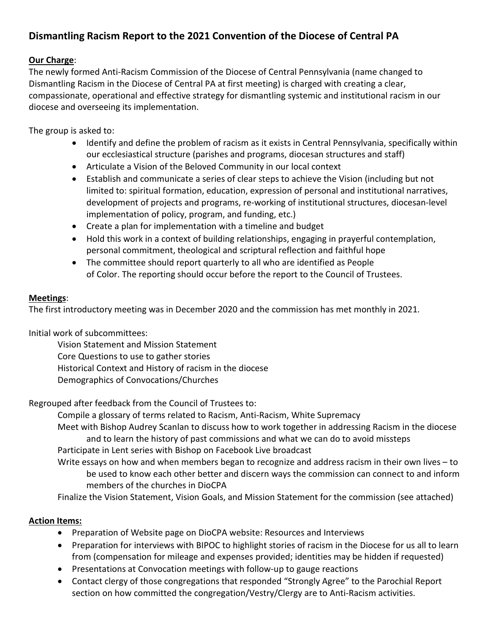## **Dismantling Racism Report to the 2021 Convention of the Diocese of Central PA**

## **Our Charge**:

The newly formed Anti-Racism Commission of the Diocese of Central Pennsylvania (name changed to Dismantling Racism in the Diocese of Central PA at first meeting) is charged with creating a clear, compassionate, operational and effective strategy for dismantling systemic and institutional racism in our diocese and overseeing its implementation.

The group is asked to:

- Identify and define the problem of racism as it exists in Central Pennsylvania, specifically within our ecclesiastical structure (parishes and programs, diocesan structures and staff)
- Articulate a Vision of the Beloved Community in our local context
- Establish and communicate a series of clear steps to achieve the Vision (including but not limited to: spiritual formation, education, expression of personal and institutional narratives, development of projects and programs, re-working of institutional structures, diocesan-level implementation of policy, program, and funding, etc.)
- Create a plan for implementation with a timeline and budget
- Hold this work in a context of building relationships, engaging in prayerful contemplation, personal commitment, theological and scriptural reflection and faithful hope
- The committee should report quarterly to all who are identified as People of Color. The reporting should occur before the report to the Council of Trustees.

## **Meetings**:

The first introductory meeting was in December 2020 and the commission has met monthly in 2021.

Initial work of subcommittees:

Vision Statement and Mission Statement Core Questions to use to gather stories Historical Context and History of racism in the diocese Demographics of Convocations/Churches

Regrouped after feedback from the Council of Trustees to:

Compile a glossary of terms related to Racism, Anti-Racism, White Supremacy Meet with Bishop Audrey Scanlan to discuss how to work together in addressing Racism in the diocese and to learn the history of past commissions and what we can do to avoid missteps Participate in Lent series with Bishop on Facebook Live broadcast

Write essays on how and when members began to recognize and address racism in their own lives – to be used to know each other better and discern ways the commission can connect to and inform members of the churches in DioCPA

Finalize the Vision Statement, Vision Goals, and Mission Statement for the commission (see attached)

## **Action Items:**

- Preparation of Website page on DioCPA website: Resources and Interviews
- Preparation for interviews with BIPOC to highlight stories of racism in the Diocese for us all to learn from (compensation for mileage and expenses provided; identities may be hidden if requested)
- Presentations at Convocation meetings with follow-up to gauge reactions
- Contact clergy of those congregations that responded "Strongly Agree" to the Parochial Report section on how committed the congregation/Vestry/Clergy are to Anti-Racism activities.